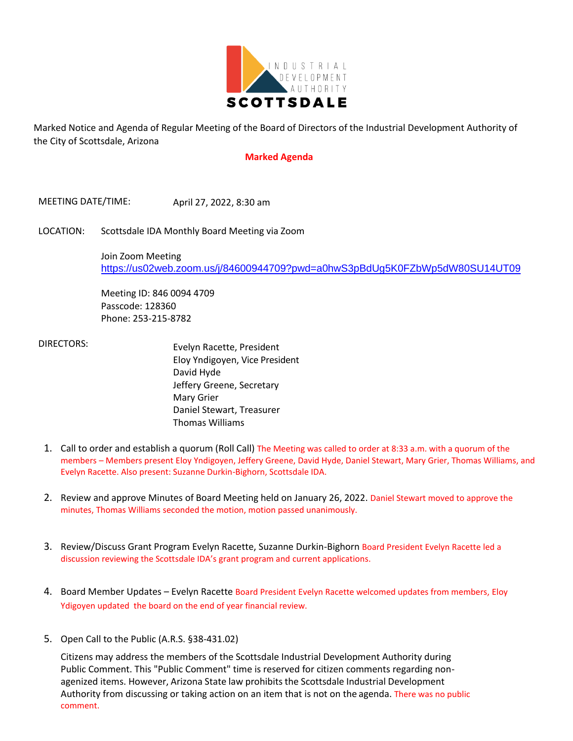

Marked Notice and Agenda of Regular Meeting of the Board of Directors of the Industrial Development Authority of the City of Scottsdale, Arizona

## **Marked Agenda**

MEETING DATE/TIME: April 27, 2022, 8:30 am

LOCATION: Scottsdale IDA Monthly Board Meeting via Zoom

Join Zoom Meeting <https://us02web.zoom.us/j/84600944709?pwd=a0hwS3pBdUg5K0FZbWp5dW80SU14UT09>

Meeting ID: 846 0094 4709 Passcode: 128360 Phone: 253-215-8782

 DIRECTORS: Evelyn Racette, President Eloy Yndigoyen, Vice President David Hyde Jeffery Greene, Secretary Mary Grier Daniel Stewart, Treasurer Thomas Williams

- 1. Call to order and establish a quorum (Roll Call) The Meeting was called to order at 8:33 a.m. with a quorum of the members – Members present Eloy Yndigoyen, Jeffery Greene, David Hyde, Daniel Stewart, Mary Grier, Thomas Williams, and Evelyn Racette. Also present: Suzanne Durkin-Bighorn, Scottsdale IDA.
- 2. Review and approve Minutes of Board Meeting held on January 26, 2022. Daniel Stewart moved to approve the minutes, Thomas Williams seconded the motion, motion passed unanimously.
- 3. Review/Discuss Grant Program Evelyn Racette, Suzanne Durkin-Bighorn Board President Evelyn Racette led a discussion reviewing the Scottsdale IDA's grant program and current applications.
- 4. Board Member Updates Evelyn Racette Board President Evelyn Racette welcomed updates from members, Eloy Ydigoyen updated the board on the end of year financial review.
- 5. Open Call to the Public (A.R.S. §38-431.02)

Citizens may address the members of the Scottsdale Industrial Development Authority during Public Comment. This "Public Comment" time is reserved for citizen comments regarding nonagenized items. However, Arizona State law prohibits the Scottsdale Industrial Development Authority from discussing or taking action on an item that is not on the agenda. There was no public comment.